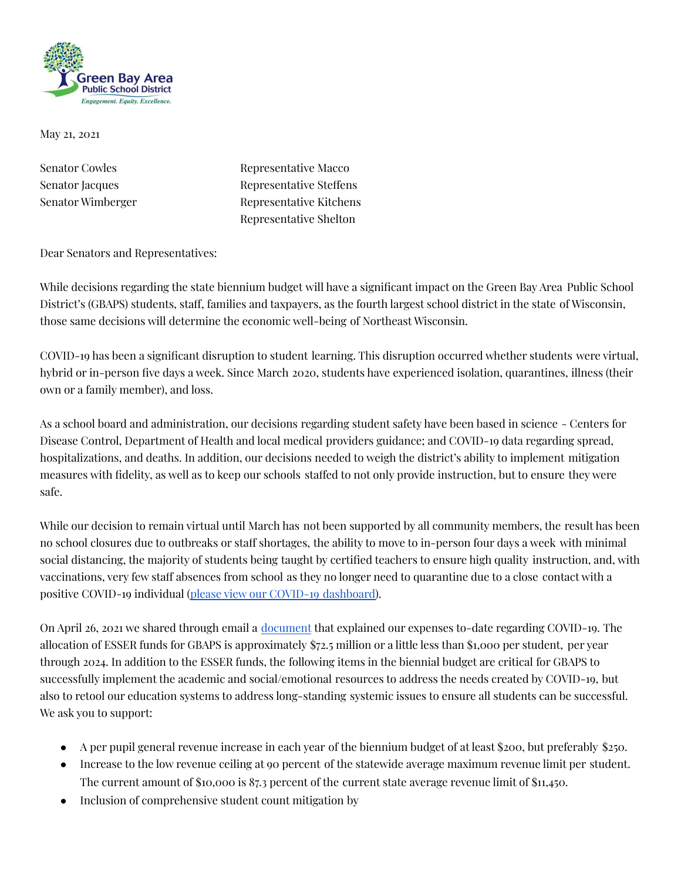

May 21, 2021

Senator Cowles Representative Macco Senator Jacques Representative Steffens Senator Wimberger Representative Kitchens Representative Shelton

Dear Senators and Representatives:

While decisions regarding the state biennium budget will have a significant impact on the Green Bay Area Public School District's (GBAPS) students, staff, families and taxpayers, as the fourth largest school district in the state of Wisconsin, those same decisions will determine the economic well-being of Northeast Wisconsin.

COVID-19 has been a significant disruption to student learning. This disruption occurred whether students were virtual, hybrid or in-person five days a week. Since March 2020, students have experienced isolation, quarantines, illness (their own or a family member), and loss.

As a school board and administration, our decisions regarding student safety have been based in science - Centers for Disease Control, Department of Health and local medical providers guidance; and COVID-19 data regarding spread, hospitalizations, and deaths. In addition, our decisions needed to weigh the district's ability to implement mitigation measures with fidelity, as well as to keep our schools staffed to not only provide instruction, but to ensure they were safe.

While our decision to remain virtual until March has not been supported by all community members, the result has been no school closures due to outbreaks or staff shortages, the ability to move to in-person four days a week with minimal social distancing, the majority of students being taught by certified teachers to ensure high quality instruction, and, with vaccinations, very few staff absences from school as they no longer need to quarantine due to a close contact with a positive COVID-19 individual (please view our COVID-19 [dashboard\)](https://health.gbaps.org/Public/Dashboard?_gl=1*1o5u0fp*_ga*MTEwNDY3MjM3OC4xNTkyNTA0NjM1*_ga_3N6KXHHNVV*MTYyMTYxMTcyOC4xNzcuMC4xNjIxNjExNzI4LjYw).

On April 26, 2021 we shared through email a [document](https://docs.google.com/presentation/d/1tIE227AZCv9CDVvGa86HU22lCJZGMBq6A7-_oiwLVcc/edit?usp=sharing) that explained our expenses to-date regarding COVID-19. The allocation of ESSER funds for GBAPS is approximately \$72.5 million or a little less than \$1,000 per student, per year through 2024. In addition to the ESSER funds, the following items in the biennial budget are critical for GBAPS to successfully implement the academic and social/emotional resources to address the needs created by COVID-19, but also to retool our education systems to address long-standing systemic issues to ensure all students can be successful. We ask you to support:

- A per pupil general revenue increase in each year of the biennium budget of at least \$200, but preferably \$250.
- Increase to the low revenue ceiling at 90 percent of the statewide average maximum revenue limit per student. The current amount of \$10,000 is 87.3 percent of the current state average revenue limit of \$11,450.
- Inclusion of comprehensive student count mitigation by